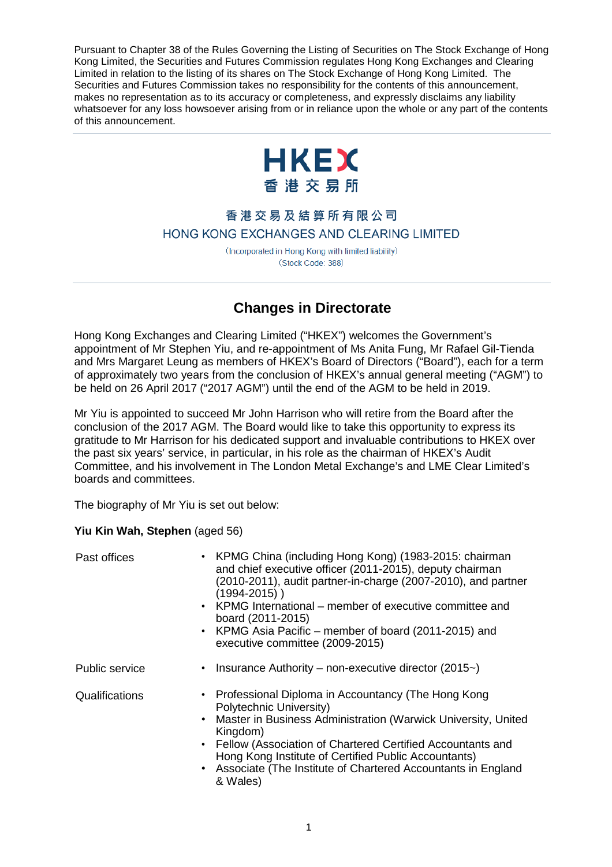Pursuant to Chapter 38 of the Rules Governing the Listing of Securities on The Stock Exchange of Hong Kong Limited, the Securities and Futures Commission regulates Hong Kong Exchanges and Clearing Limited in relation to the listing of its shares on The Stock Exchange of Hong Kong Limited. The Securities and Futures Commission takes no responsibility for the contents of this announcement, makes no representation as to its accuracy or completeness, and expressly disclaims any liability whatsoever for any loss howsoever arising from or in reliance upon the whole or any part of the contents of this announcement.



## 香港交易及結算所有限公司 HONG KONG EXCHANGES AND CLEARING LIMITED

(Incorporated in Hong Kong with limited liability) (Stock Code: 388)

## **Changes in Directorate**

Hong Kong Exchanges and Clearing Limited ("HKEX") welcomes the Government's appointment of Mr Stephen Yiu, and re-appointment of Ms Anita Fung, Mr Rafael Gil-Tienda and Mrs Margaret Leung as members of HKEX's Board of Directors ("Board"), each for a term of approximately two years from the conclusion of HKEX's annual general meeting ("AGM") to be held on 26 April 2017 ("2017 AGM") until the end of the AGM to be held in 2019.

Mr Yiu is appointed to succeed Mr John Harrison who will retire from the Board after the conclusion of the 2017 AGM. The Board would like to take this opportunity to express its gratitude to Mr Harrison for his dedicated support and invaluable contributions to HKEX over the past six years' service, in particular, in his role as the chairman of HKEX's Audit Committee, and his involvement in The London Metal Exchange's and LME Clear Limited's boards and committees.

The biography of Mr Yiu is set out below:

## **Yiu Kin Wah, Stephen** (aged 56)

| Past offices          | • KPMG China (including Hong Kong) (1983-2015: chairman<br>and chief executive officer (2011-2015), deputy chairman<br>(2010-2011), audit partner-in-charge (2007-2010), and partner<br>$(1994 - 2015)$ )<br>• KPMG International – member of executive committee and<br>board (2011-2015)<br>• KPMG Asia Pacific – member of board (2011-2015) and<br>executive committee (2009-2015) |
|-----------------------|----------------------------------------------------------------------------------------------------------------------------------------------------------------------------------------------------------------------------------------------------------------------------------------------------------------------------------------------------------------------------------------|
| <b>Public service</b> | • Insurance Authority – non-executive director (2015 $\sim$ )                                                                                                                                                                                                                                                                                                                          |
| Qualifications        | • Professional Diploma in Accountancy (The Hong Kong<br>Polytechnic University)<br>• Master in Business Administration (Warwick University, United<br>Kingdom)<br>• Fellow (Association of Chartered Certified Accountants and<br>Hong Kong Institute of Certified Public Accountants)<br>• Associate (The Institute of Chartered Accountants in England<br>& Wales)                   |